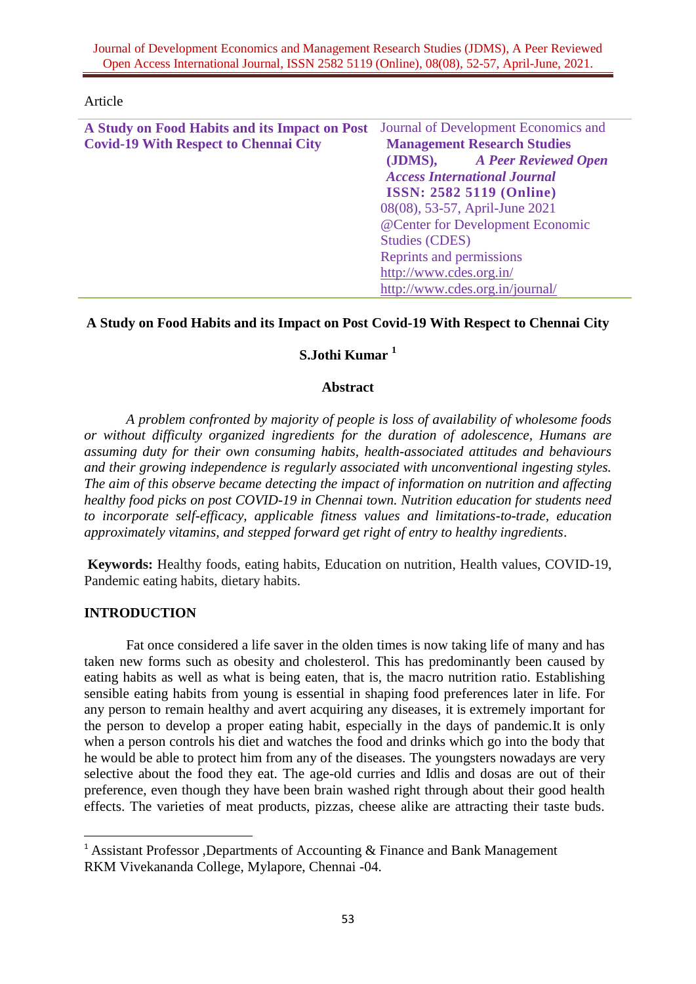Journal of Development Economics and Management Research Studies (JDMS), A Peer Reviewed Open Access International Journal, ISSN 2582 5119 (Online), 08(08), 52-57, April-June, 2021.

#### Article

| A Study on Food Habits and its Impact on Post | Journal of Development Economics and |  |  |
|-----------------------------------------------|--------------------------------------|--|--|
| <b>Covid-19 With Respect to Chennai City</b>  | <b>Management Research Studies</b>   |  |  |
|                                               | (JDMS), A Peer Reviewed Open         |  |  |
|                                               | <b>Access International Journal</b>  |  |  |
|                                               | <b>ISSN: 2582 5119 (Online)</b>      |  |  |
|                                               | 08(08), 53-57, April-June 2021       |  |  |
|                                               | @Center for Development Economic     |  |  |
|                                               | <b>Studies (CDES)</b>                |  |  |
|                                               | Reprints and permissions             |  |  |
|                                               | http://www.cdes.org.in/              |  |  |
|                                               | http://www.cdes.org.in/journal/      |  |  |

### **A Study on Food Habits and its Impact on Post Covid-19 With Respect to Chennai City**

# **S.Jothi Kumar <sup>1</sup>**

### **Abstract**

*A problem confronted by majority of people is loss of availability of wholesome foods or without difficulty organized ingredients for the duration of adolescence, Humans are assuming duty for their own consuming habits, health-associated attitudes and behaviours and their growing independence is regularly associated with unconventional ingesting styles. The aim of this observe became detecting the impact of information on nutrition and affecting healthy food picks on post COVID-19 in Chennai town. Nutrition education for students need to incorporate self-efficacy, applicable fitness values and limitations-to-trade, education approximately vitamins, and stepped forward get right of entry to healthy ingredients*.

**Keywords:** Healthy foods, eating habits, Education on nutrition, Health values, COVID-19, Pandemic eating habits, dietary habits.

#### **INTRODUCTION**

 $\overline{a}$ 

Fat once considered a life saver in the olden times is now taking life of many and has taken new forms such as obesity and cholesterol. This has predominantly been caused by eating habits as well as what is being eaten, that is, the macro nutrition ratio. Establishing sensible eating habits from young is essential in shaping food preferences later in life. For any person to remain healthy and avert acquiring any diseases, it is extremely important for the person to develop a proper eating habit, especially in the days of pandemic.It is only when a person controls his diet and watches the food and drinks which go into the body that he would be able to protect him from any of the diseases. The youngsters nowadays are very selective about the food they eat. The age-old curries and Idlis and dosas are out of their preference, even though they have been brain washed right through about their good health effects. The varieties of meat products, pizzas, cheese alike are attracting their taste buds.

<sup>&</sup>lt;sup>1</sup> Assistant Professor ,Departments of Accounting  $\&$  Finance and Bank Management RKM Vivekananda College, Mylapore, Chennai -04.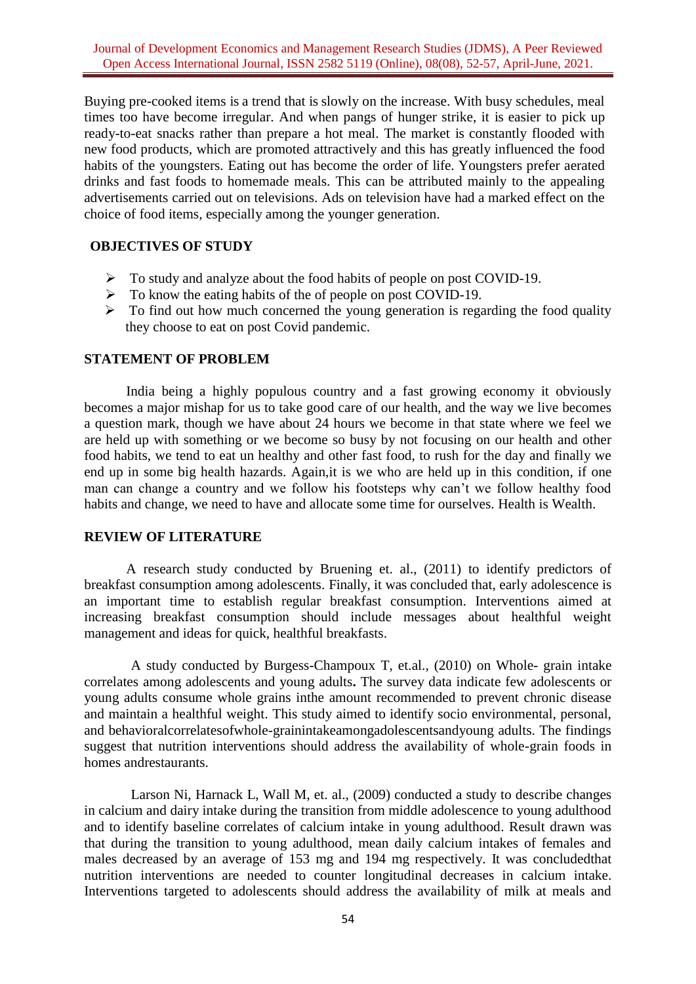Buying pre-cooked items is a trend that is slowly on the increase. With busy schedules, meal times too have become irregular. And when pangs of hunger strike, it is easier to pick up ready-to-eat snacks rather than prepare a hot meal. The market is constantly flooded with new food products, which are promoted attractively and this has greatly influenced the food habits of the youngsters. Eating out has become the order of life. Youngsters prefer aerated drinks and fast foods to homemade meals. This can be attributed mainly to the appealing advertisements carried out on televisions. Ads on television have had a marked effect on the choice of food items, especially among the younger generation.

### **OBJECTIVES OF STUDY**

- $\triangleright$  To study and analyze about the food habits of people on post COVID-19.
- $\triangleright$  To know the eating habits of the of people on post COVID-19.
- $\triangleright$  To find out how much concerned the young generation is regarding the food quality they choose to eat on post Covid pandemic.

### **STATEMENT OF PROBLEM**

India being a highly populous country and a fast growing economy it obviously becomes a major mishap for us to take good care of our health, and the way we live becomes a question mark, though we have about 24 hours we become in that state where we feel we are held up with something or we become so busy by not focusing on our health and other food habits, we tend to eat un healthy and other fast food, to rush for the day and finally we end up in some big health hazards. Again,it is we who are held up in this condition, if one man can change a country and we follow his footsteps why can't we follow healthy food habits and change, we need to have and allocate some time for ourselves. Health is Wealth.

#### **REVIEW OF LITERATURE**

A research study conducted by Bruening et. al., (2011) to identify predictors of breakfast consumption among adolescents. Finally, it was concluded that, early adolescence is an important time to establish regular breakfast consumption. Interventions aimed at increasing breakfast consumption should include messages about healthful weight management and ideas for quick, healthful breakfasts.

A study conducted by Burgess-Champoux T, et.al., (2010) on Whole- grain intake correlates among adolescents and young adults**.** The survey data indicate few adolescents or young adults consume whole grains inthe amount recommended to prevent chronic disease and maintain a healthful weight. This study aimed to identify socio environmental, personal, and behavioralcorrelatesofwhole-grainintakeamongadolescentsandyoung adults. The findings suggest that nutrition interventions should address the availability of whole-grain foods in homes andrestaurants.

Larson Ni, Harnack L, Wall M, et. al., (2009) conducted a study to describe changes in calcium and dairy intake during the transition from middle adolescence to young adulthood and to identify baseline correlates of calcium intake in young adulthood. Result drawn was that during the transition to young adulthood, mean daily calcium intakes of females and males decreased by an average of 153 mg and 194 mg respectively. It was concludedthat nutrition interventions are needed to counter longitudinal decreases in calcium intake. Interventions targeted to adolescents should address the availability of milk at meals and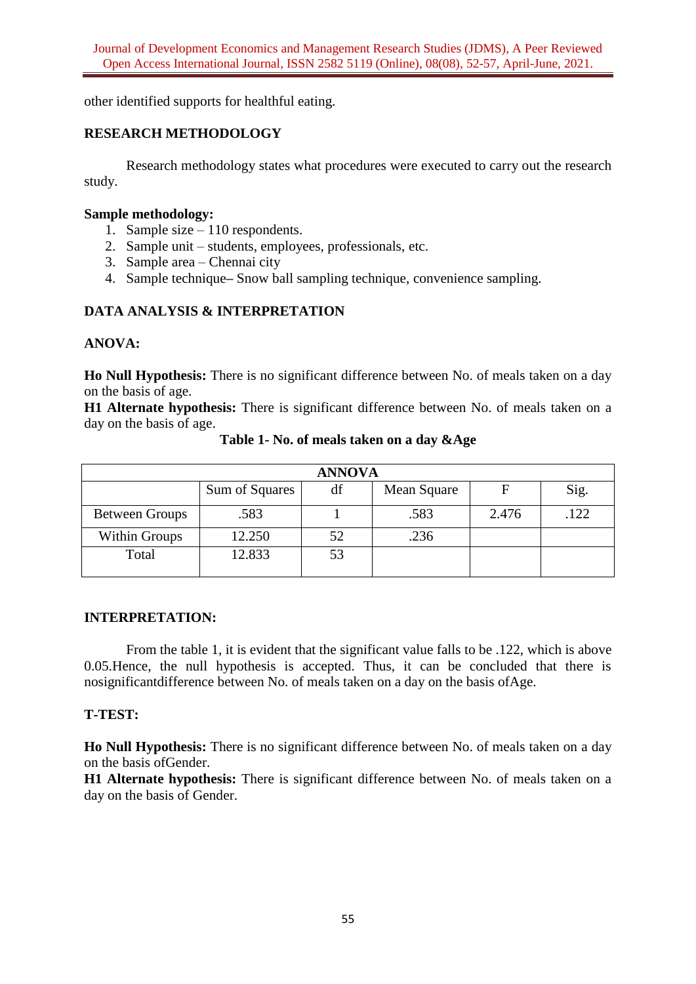other identified supports for healthful eating.

## **RESEARCH METHODOLOGY**

Research methodology states what procedures were executed to carry out the research study.

## **Sample methodology:**

- 1. Sample size 110 respondents.
- 2. Sample unit students, employees, professionals, etc.
- 3. Sample area Chennai city
- 4. Sample technique**–** Snow ball sampling technique, convenience sampling.

## **DATA ANALYSIS & INTERPRETATION**

## **ANOVA:**

**Ho Null Hypothesis:** There is no significant difference between No. of meals taken on a day on the basis of age.

**H1 Alternate hypothesis:** There is significant difference between No. of meals taken on a day on the basis of age.

| <b>ANNOVA</b>         |                |    |             |       |      |  |  |
|-----------------------|----------------|----|-------------|-------|------|--|--|
|                       | Sum of Squares | df | Mean Square |       | Sig. |  |  |
| <b>Between Groups</b> | .583           |    | .583        | 2.476 | .122 |  |  |
| <b>Within Groups</b>  | 12.250         | 52 | .236        |       |      |  |  |
| Total                 | 12.833         | 53 |             |       |      |  |  |

**Table 1- No. of meals taken on a day &Age**

## **INTERPRETATION:**

From the table 1, it is evident that the significant value falls to be .122, which is above 0.05.Hence, the null hypothesis is accepted. Thus, it can be concluded that there is nosignificantdifference between No. of meals taken on a day on the basis ofAge.

## **T-TEST:**

**Ho Null Hypothesis:** There is no significant difference between No. of meals taken on a day on the basis ofGender.

**H1 Alternate hypothesis:** There is significant difference between No. of meals taken on a day on the basis of Gender.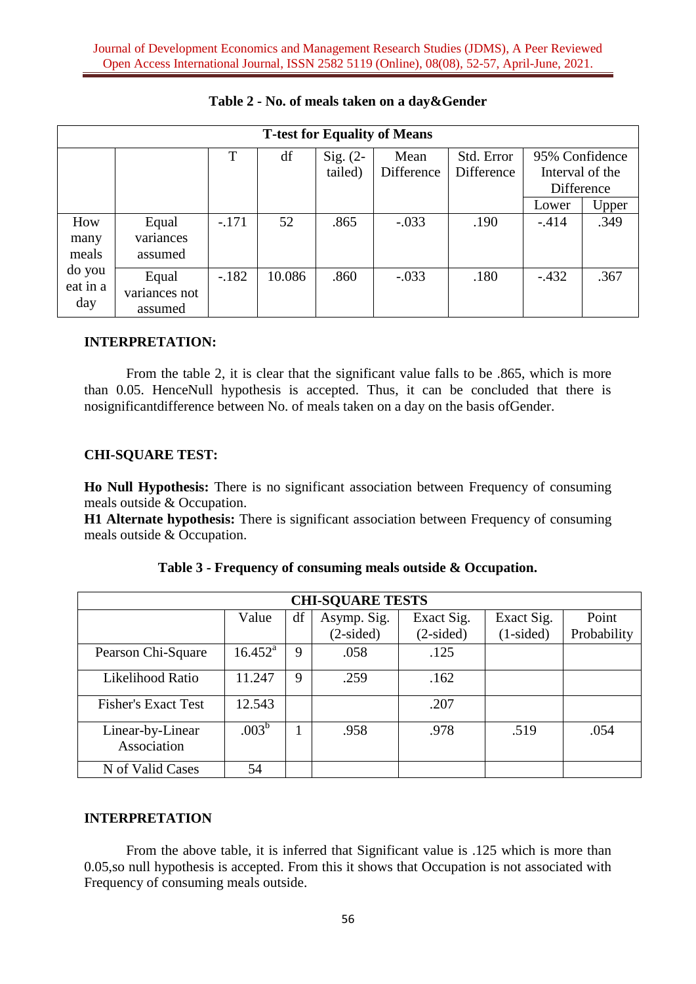| <b>T-test for Equality of Means</b> |               |         |        |            |            |            |                 |       |  |
|-------------------------------------|---------------|---------|--------|------------|------------|------------|-----------------|-------|--|
|                                     |               | T       | df     | Sig. $(2-$ | Mean       | Std. Error | 95% Confidence  |       |  |
|                                     |               |         |        | tailed)    | Difference | Difference | Interval of the |       |  |
|                                     |               |         |        |            |            |            | Difference      |       |  |
|                                     |               |         |        |            |            |            | Lower           | Upper |  |
| How                                 | Equal         | $-.171$ | 52     | .865       | $-.033$    | .190       | $-.414$         | .349  |  |
| many                                | variances     |         |        |            |            |            |                 |       |  |
| meals                               | assumed       |         |        |            |            |            |                 |       |  |
| do you                              | Equal         | $-.182$ | 10.086 | .860       | $-.033$    | .180       | $-.432$         | .367  |  |
| eat in a                            | variances not |         |        |            |            |            |                 |       |  |
| day                                 | assumed       |         |        |            |            |            |                 |       |  |

# **Table 2 - No. of meals taken on a day&Gender**

## **INTERPRETATION:**

From the table 2, it is clear that the significant value falls to be .865, which is more than 0.05. HenceNull hypothesis is accepted. Thus, it can be concluded that there is nosignificantdifference between No. of meals taken on a day on the basis ofGender.

## **CHI-SQUARE TEST:**

**Ho Null Hypothesis:** There is no significant association between Frequency of consuming meals outside & Occupation.

**H1 Alternate hypothesis:** There is significant association between Frequency of consuming meals outside & Occupation.

| <b>CHI-SQUARE TESTS</b>         |                   |    |             |             |             |             |  |  |
|---------------------------------|-------------------|----|-------------|-------------|-------------|-------------|--|--|
|                                 | Value             | df | Asymp. Sig. | Exact Sig.  | Exact Sig.  | Point       |  |  |
|                                 |                   |    | $(2-sided)$ | $(2-sided)$ | $(1-sided)$ | Probability |  |  |
| Pearson Chi-Square              | $16.452^{\rm a}$  | 9  | .058        | .125        |             |             |  |  |
| Likelihood Ratio                | 11.247            | 9  | .259        | .162        |             |             |  |  |
| <b>Fisher's Exact Test</b>      | 12.543            |    |             | .207        |             |             |  |  |
| Linear-by-Linear<br>Association | .003 <sup>b</sup> |    | .958        | .978        | .519        | .054        |  |  |
| N of Valid Cases                | 54                |    |             |             |             |             |  |  |

**Table 3 - Frequency of consuming meals outside & Occupation.**

## **INTERPRETATION**

From the above table, it is inferred that Significant value is .125 which is more than 0.05,so null hypothesis is accepted. From this it shows that Occupation is not associated with Frequency of consuming meals outside.